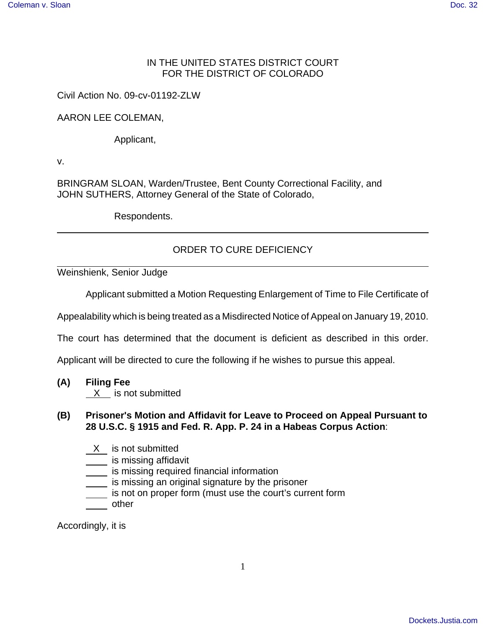## IN THE UNITED STATES DISTRICT COURT FOR THE DISTRICT OF COLORADO

Civil Action No. 09-cv-01192-ZLW

## AARON LEE COLEMAN,

Applicant,

v.

BRINGRAM SLOAN, Warden/Trustee, Bent County Correctional Facility, and JOHN SUTHERS, Attorney General of the State of Colorado,

Respondents.

## ORDER TO CURE DEFICIENCY

Weinshienk, Senior Judge

Applicant submitted a Motion Requesting Enlargement of Time to File Certificate of

Appealability which is being treated as a Misdirected Notice of Appeal on January 19, 2010.

The court has determined that the document is deficient as described in this order.

Applicant will be directed to cure the following if he wishes to pursue this appeal.

**(A) Filing Fee**  X is not submitted

## **(B) Prisoner's Motion and Affidavit for Leave to Proceed on Appeal Pursuant to 28 U.S.C. § 1915 and Fed. R. App. P. 24 in a Habeas Corpus Action**:

- X is not submitted
- **is missing affidavit**
- is missing required financial information
- is missing an original signature by the prisoner
- is not on proper form (must use the court's current form
- <u>sand</u> other

Accordingly, it is